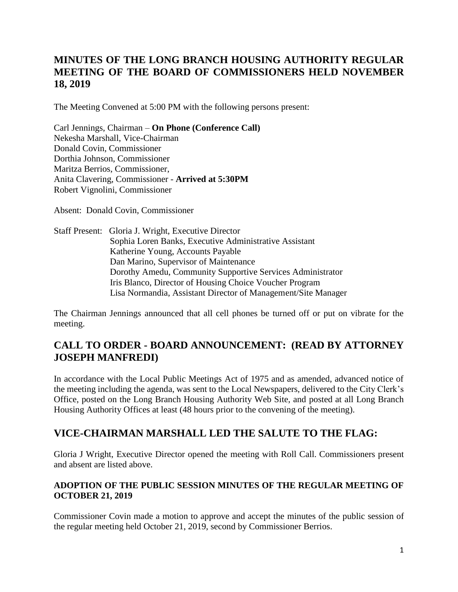## **MINUTES OF THE LONG BRANCH HOUSING AUTHORITY REGULAR MEETING OF THE BOARD OF COMMISSIONERS HELD NOVEMBER 18, 2019**

The Meeting Convened at 5:00 PM with the following persons present:

Carl Jennings, Chairman – **On Phone (Conference Call)** Nekesha Marshall, Vice-Chairman Donald Covin, Commissioner Dorthia Johnson, Commissioner Maritza Berrios, Commissioner, Anita Clavering, Commissioner - **Arrived at 5:30PM** Robert Vignolini, Commissioner

Absent: Donald Covin, Commissioner

Staff Present: Gloria J. Wright, Executive Director Sophia Loren Banks, Executive Administrative Assistant Katherine Young, Accounts Payable Dan Marino, Supervisor of Maintenance Dorothy Amedu, Community Supportive Services Administrator Iris Blanco, Director of Housing Choice Voucher Program Lisa Normandia, Assistant Director of Management/Site Manager

The Chairman Jennings announced that all cell phones be turned off or put on vibrate for the meeting.

### **CALL TO ORDER - BOARD ANNOUNCEMENT: (READ BY ATTORNEY JOSEPH MANFREDI)**

In accordance with the Local Public Meetings Act of 1975 and as amended, advanced notice of the meeting including the agenda, was sent to the Local Newspapers, delivered to the City Clerk's Office, posted on the Long Branch Housing Authority Web Site, and posted at all Long Branch Housing Authority Offices at least (48 hours prior to the convening of the meeting).

## **VICE-CHAIRMAN MARSHALL LED THE SALUTE TO THE FLAG:**

Gloria J Wright, Executive Director opened the meeting with Roll Call. Commissioners present and absent are listed above.

#### **ADOPTION OF THE PUBLIC SESSION MINUTES OF THE REGULAR MEETING OF OCTOBER 21, 2019**

Commissioner Covin made a motion to approve and accept the minutes of the public session of the regular meeting held October 21, 2019, second by Commissioner Berrios.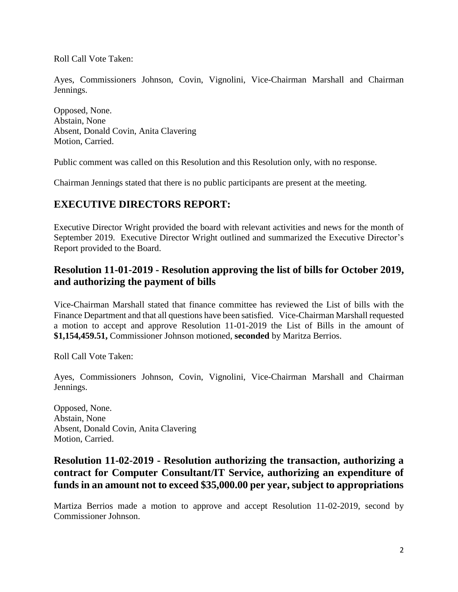Roll Call Vote Taken:

Ayes, Commissioners Johnson, Covin, Vignolini, Vice-Chairman Marshall and Chairman Jennings.

Opposed, None. Abstain, None Absent, Donald Covin, Anita Clavering Motion, Carried.

Public comment was called on this Resolution and this Resolution only, with no response.

Chairman Jennings stated that there is no public participants are present at the meeting.

# **EXECUTIVE DIRECTORS REPORT:**

Executive Director Wright provided the board with relevant activities and news for the month of September 2019. Executive Director Wright outlined and summarized the Executive Director's Report provided to the Board.

### **Resolution 11-01-2019 - Resolution approving the list of bills for October 2019, and authorizing the payment of bills**

Vice-Chairman Marshall stated that finance committee has reviewed the List of bills with the Finance Department and that all questions have been satisfied. Vice-Chairman Marshall requested a motion to accept and approve Resolution 11-01-2019 the List of Bills in the amount of **\$1,154,459.51,** Commissioner Johnson motioned, **seconded** by Maritza Berrios.

Roll Call Vote Taken:

Ayes, Commissioners Johnson, Covin, Vignolini, Vice-Chairman Marshall and Chairman Jennings.

Opposed, None. Abstain, None Absent, Donald Covin, Anita Clavering Motion, Carried.

### **Resolution 11-02-2019 - Resolution authorizing the transaction, authorizing a contract for Computer Consultant/IT Service, authorizing an expenditure of funds in an amount not to exceed \$35,000.00 per year, subject to appropriations**

Martiza Berrios made a motion to approve and accept Resolution 11-02-2019, second by Commissioner Johnson.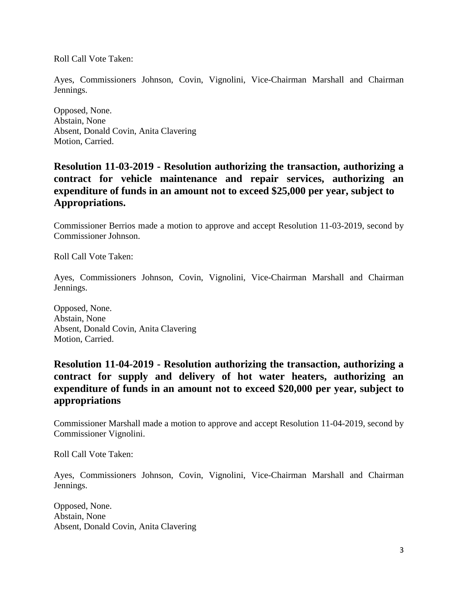Roll Call Vote Taken:

Ayes, Commissioners Johnson, Covin, Vignolini, Vice-Chairman Marshall and Chairman Jennings.

Opposed, None. Abstain, None Absent, Donald Covin, Anita Clavering Motion, Carried.

### **Resolution 11-03-2019 - Resolution authorizing the transaction, authorizing a contract for vehicle maintenance and repair services, authorizing an expenditure of funds in an amount not to exceed \$25,000 per year, subject to Appropriations.**

Commissioner Berrios made a motion to approve and accept Resolution 11-03-2019, second by Commissioner Johnson.

Roll Call Vote Taken:

Ayes, Commissioners Johnson, Covin, Vignolini, Vice-Chairman Marshall and Chairman Jennings.

Opposed, None. Abstain, None Absent, Donald Covin, Anita Clavering Motion, Carried.

#### **Resolution 11-04-2019 - Resolution authorizing the transaction, authorizing a contract for supply and delivery of hot water heaters, authorizing an expenditure of funds in an amount not to exceed \$20,000 per year, subject to appropriations**

Commissioner Marshall made a motion to approve and accept Resolution 11-04-2019, second by Commissioner Vignolini.

Roll Call Vote Taken:

Ayes, Commissioners Johnson, Covin, Vignolini, Vice-Chairman Marshall and Chairman Jennings.

Opposed, None. Abstain, None Absent, Donald Covin, Anita Clavering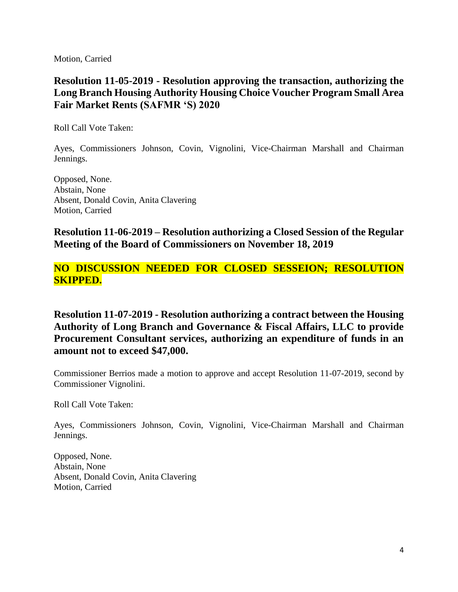Motion, Carried

### **Resolution 11-05-2019 - Resolution approving the transaction, authorizing the Long Branch Housing Authority Housing Choice Voucher Program Small Area Fair Market Rents (SAFMR 'S) 2020**

Roll Call Vote Taken:

Ayes, Commissioners Johnson, Covin, Vignolini, Vice-Chairman Marshall and Chairman Jennings.

Opposed, None. Abstain, None Absent, Donald Covin, Anita Clavering Motion, Carried

#### **Resolution 11-06-2019 – Resolution authorizing a Closed Session of the Regular Meeting of the Board of Commissioners on November 18, 2019**

### **NO DISCUSSION NEEDED FOR CLOSED SESSEION; RESOLUTION SKIPPED.**

**Resolution 11-07-2019 - Resolution authorizing a contract between the Housing Authority of Long Branch and Governance & Fiscal Affairs, LLC to provide Procurement Consultant services, authorizing an expenditure of funds in an amount not to exceed \$47,000.**

Commissioner Berrios made a motion to approve and accept Resolution 11-07-2019, second by Commissioner Vignolini.

Roll Call Vote Taken:

Ayes, Commissioners Johnson, Covin, Vignolini, Vice-Chairman Marshall and Chairman Jennings.

Opposed, None. Abstain, None Absent, Donald Covin, Anita Clavering Motion, Carried